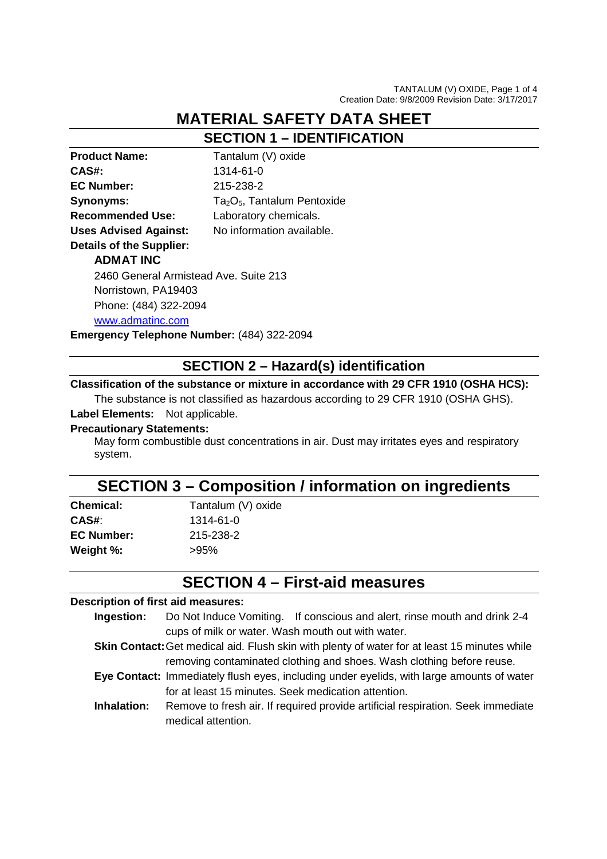# **MATERIAL SAFETY DATA SHEET**

**SECTION 1 – IDENTIFICATION** 

| <b>Product Name:</b>                  | Tantalum (V) oxide                                  |
|---------------------------------------|-----------------------------------------------------|
| CAS#:                                 | 1314-61-0                                           |
| <b>EC Number:</b>                     | 215-238-2                                           |
| Synonyms:                             | Ta <sub>2</sub> O <sub>5</sub> , Tantalum Pentoxide |
| <b>Recommended Use:</b>               | Laboratory chemicals.                               |
| <b>Uses Advised Against:</b>          | No information available.                           |
| <b>Details of the Supplier:</b>       |                                                     |
| <b>ADMAT INC</b>                      |                                                     |
| 2460 General Armistead Ave. Suite 213 |                                                     |
| Norristown, PA19403                   |                                                     |
| Phone: (484) 322-2094                 |                                                     |
| www.admatinc.com                      |                                                     |
|                                       |                                                     |

**Emergency Telephone Number:** (484) 322-2094

### **SECTION 2 – Hazard(s) identification**

### **Classification of the substance or mixture in accordance with 29 CFR 1910 (OSHA HCS):**

The substance is not classified as hazardous according to 29 CFR 1910 (OSHA GHS). **Label Elements:** Not applicable.

#### **Precautionary Statements:**

May form combustible dust concentrations in air. Dust may irritates eyes and respiratory system.

### **SECTION 3 – Composition / information on ingredients**

| <b>Chemical:</b>  | Tantalum (V) oxide |
|-------------------|--------------------|
| CAS#:             | 1314-61-0          |
| <b>EC Number:</b> | 215-238-2          |
| Weight %:         | $>95\%$            |

# **SECTION 4 – First-aid measures**

#### **Description of first aid measures:**

- **Ingestion:** Do Not Induce Vomiting. If conscious and alert, rinse mouth and drink 2-4 cups of milk or water. Wash mouth out with water.
- **Skin Contact:** Get medical aid. Flush skin with plenty of water for at least 15 minutes while removing contaminated clothing and shoes. Wash clothing before reuse.
- **Eye Contact:** Immediately flush eyes, including under eyelids, with large amounts of water for at least 15 minutes. Seek medication attention.
- **Inhalation:** Remove to fresh air. If required provide artificial respiration. Seek immediate medical attention.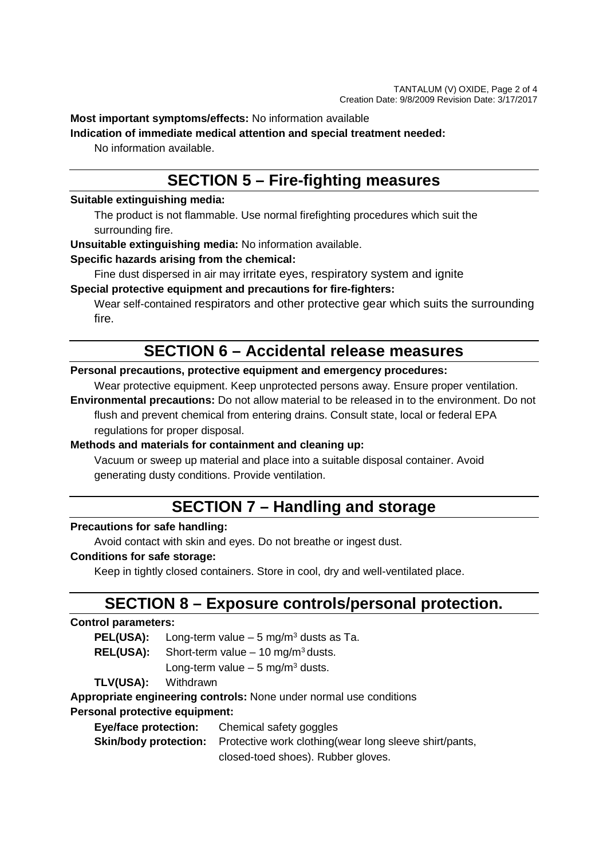**Most important symptoms/effects:** No information available

**Indication of immediate medical attention and special treatment needed:** 

No information available.

## **SECTION 5 – Fire-fighting measures**

### **Suitable extinguishing media:**

The product is not flammable. Use normal firefighting procedures which suit the surrounding fire.

**Unsuitable extinguishing media:** No information available.

### **Specific hazards arising from the chemical:**

Fine dust dispersed in air may irritate eyes, respiratory system and ignite **Special protective equipment and precautions for fire-fighters:** 

Wear self-contained respirators and other protective gear which suits the surrounding fire.

## **SECTION 6 – Accidental release measures**

### **Personal precautions, protective equipment and emergency procedures:**

Wear protective equipment. Keep unprotected persons away. Ensure proper ventilation.

**Environmental precautions:** Do not allow material to be released in to the environment. Do not flush and prevent chemical from entering drains. Consult state, local or federal EPA regulations for proper disposal.

### **Methods and materials for containment and cleaning up:**

Vacuum or sweep up material and place into a suitable disposal container. Avoid generating dusty conditions. Provide ventilation.

## **SECTION 7 – Handling and storage**

### **Precautions for safe handling:**

Avoid contact with skin and eyes. Do not breathe or ingest dust.

#### **Conditions for safe storage:**

Keep in tightly closed containers. Store in cool, dry and well-ventilated place.

## **SECTION 8 – Exposure controls/personal protection.**

### **Control parameters:**

**PEL(USA):** Long-term value – 5 mg/m<sup>3</sup> dusts as Ta.

**REL(USA):** Short-term value – 10 mg/m<sup>3</sup> dusts.

Long-term value – 5 mg/m<sup>3</sup> dusts.

**TLV(USA):** Withdrawn

**Appropriate engineering controls:** None under normal use conditions

### **Personal protective equipment:**

 **Eye/face protection:** Chemical safety goggles

**Skin/body protection:** Protective work clothing(wear long sleeve shirt/pants, closed-toed shoes). Rubber gloves.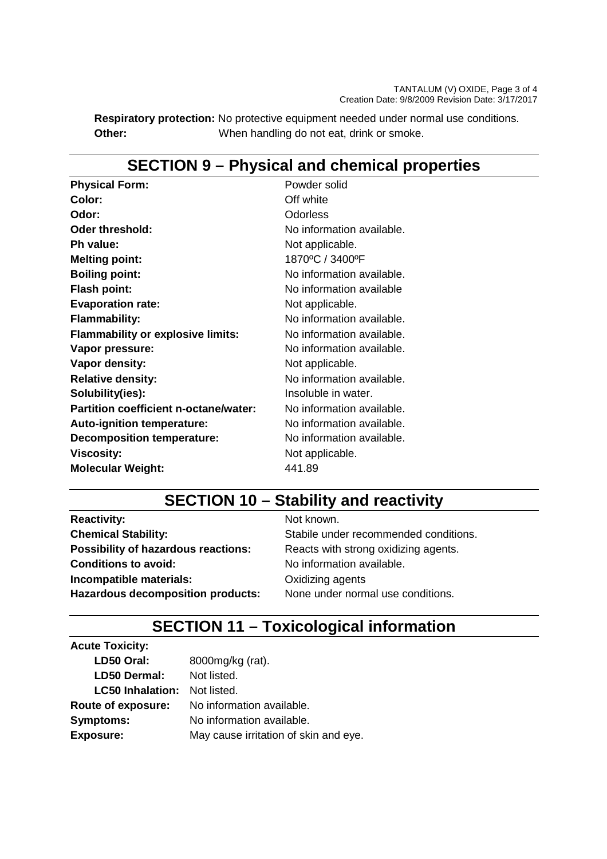**Respiratory protection:** No protective equipment needed under normal use conditions. **Other:** When handling do not eat, drink or smoke.

# **SECTION 9 – Physical and chemical properties**

| Powder solid              |
|---------------------------|
| Off white                 |
| Odorless                  |
| No information available. |
| Not applicable.           |
| 1870°C / 3400°F           |
| No information available. |
| No information available  |
| Not applicable.           |
| No information available. |
| No information available. |
| No information available. |
| Not applicable.           |
| No information available. |
| Insoluble in water.       |
| No information available. |
| No information available. |
| No information available. |
| Not applicable.           |
| 441.89                    |
|                           |

# **SECTION 10 – Stability and reactivity**

**Reactivity:** Not known. **Possibility of hazardous reactions:** Reacts with strong oxidizing agents. **Conditions to avoid:** No information available. **Incompatible materials: Calcular COXIDIZING** agents Hazardous decomposition products: None under normal use conditions.

**Chemical Stability:** Stabile under recommended conditions.

# **SECTION 11 – Toxicological information**

| 8000mg/kg (rat).                      |
|---------------------------------------|
| Not listed.                           |
| Not listed.                           |
| No information available.             |
| No information available.             |
| May cause irritation of skin and eye. |
|                                       |